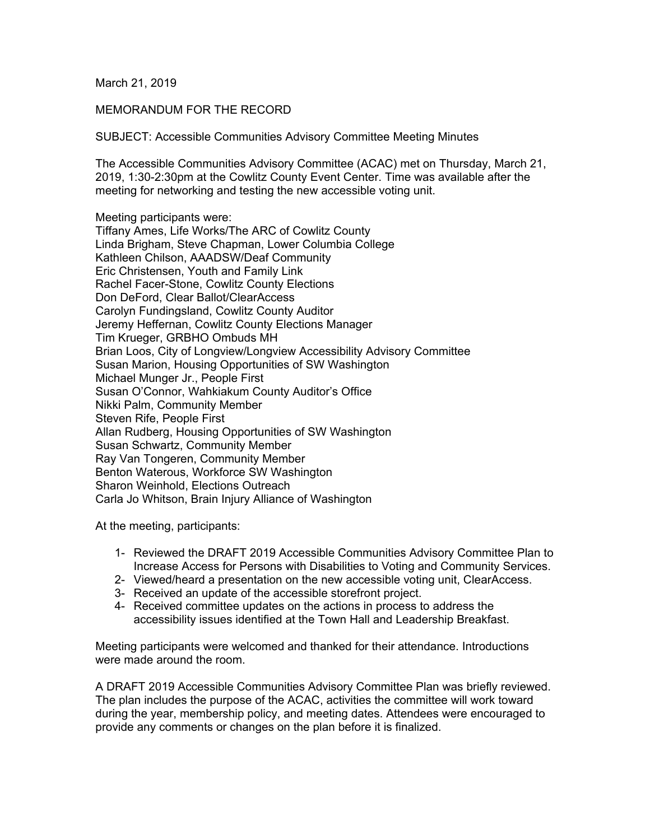March 21, 2019

## MEMORANDUM FOR THE RECORD

SUBJECT: Accessible Communities Advisory Committee Meeting Minutes

The Accessible Communities Advisory Committee (ACAC) met on Thursday, March 21, 2019, 1:30-2:30pm at the Cowlitz County Event Center. Time was available after the meeting for networking and testing the new accessible voting unit.

Meeting participants were:

Tiffany Ames, Life Works/The ARC of Cowlitz County Linda Brigham, Steve Chapman, Lower Columbia College Kathleen Chilson, AAADSW/Deaf Community Eric Christensen, Youth and Family Link Rachel Facer-Stone, Cowlitz County Elections Don DeFord, Clear Ballot/ClearAccess Carolyn Fundingsland, Cowlitz County Auditor Jeremy Heffernan, Cowlitz County Elections Manager Tim Krueger, GRBHO Ombuds MH Brian Loos, City of Longview/Longview Accessibility Advisory Committee Susan Marion, Housing Opportunities of SW Washington Michael Munger Jr., People First Susan O'Connor, Wahkiakum County Auditor's Office Nikki Palm, Community Member Steven Rife, People First Allan Rudberg, Housing Opportunities of SW Washington Susan Schwartz, Community Member Ray Van Tongeren, Community Member Benton Waterous, Workforce SW Washington Sharon Weinhold, Elections Outreach Carla Jo Whitson, Brain Injury Alliance of Washington

At the meeting, participants:

- 1- Reviewed the DRAFT 2019 Accessible Communities Advisory Committee Plan to Increase Access for Persons with Disabilities to Voting and Community Services.
- 2- Viewed/heard a presentation on the new accessible voting unit, ClearAccess.
- 3- Received an update of the accessible storefront project.
- 4- Received committee updates on the actions in process to address the accessibility issues identified at the Town Hall and Leadership Breakfast.

Meeting participants were welcomed and thanked for their attendance. Introductions were made around the room.

A DRAFT 2019 Accessible Communities Advisory Committee Plan was briefly reviewed. The plan includes the purpose of the ACAC, activities the committee will work toward during the year, membership policy, and meeting dates. Attendees were encouraged to provide any comments or changes on the plan before it is finalized.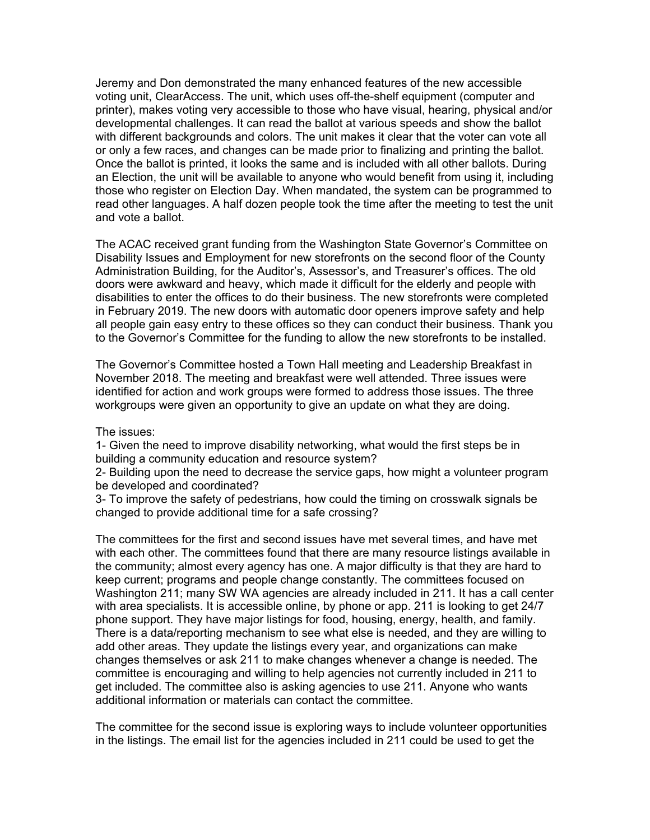Jeremy and Don demonstrated the many enhanced features of the new accessible voting unit, ClearAccess. The unit, which uses off-the-shelf equipment (computer and printer), makes voting very accessible to those who have visual, hearing, physical and/or developmental challenges. It can read the ballot at various speeds and show the ballot with different backgrounds and colors. The unit makes it clear that the voter can vote all or only a few races, and changes can be made prior to finalizing and printing the ballot. Once the ballot is printed, it looks the same and is included with all other ballots. During an Election, the unit will be available to anyone who would benefit from using it, including those who register on Election Day. When mandated, the system can be programmed to read other languages. A half dozen people took the time after the meeting to test the unit and vote a ballot.

The ACAC received grant funding from the Washington State Governor's Committee on Disability Issues and Employment for new storefronts on the second floor of the County Administration Building, for the Auditor's, Assessor's, and Treasurer's offices. The old doors were awkward and heavy, which made it difficult for the elderly and people with disabilities to enter the offices to do their business. The new storefronts were completed in February 2019. The new doors with automatic door openers improve safety and help all people gain easy entry to these offices so they can conduct their business. Thank you to the Governor's Committee for the funding to allow the new storefronts to be installed.

The Governor's Committee hosted a Town Hall meeting and Leadership Breakfast in November 2018. The meeting and breakfast were well attended. Three issues were identified for action and work groups were formed to address those issues. The three workgroups were given an opportunity to give an update on what they are doing.

The issues:

1- Given the need to improve disability networking, what would the first steps be in building a community education and resource system?

2- Building upon the need to decrease the service gaps, how might a volunteer program be developed and coordinated?

3- To improve the safety of pedestrians, how could the timing on crosswalk signals be changed to provide additional time for a safe crossing?

The committees for the first and second issues have met several times, and have met with each other. The committees found that there are many resource listings available in the community; almost every agency has one. A major difficulty is that they are hard to keep current; programs and people change constantly. The committees focused on Washington 211; many SW WA agencies are already included in 211. It has a call center with area specialists. It is accessible online, by phone or app. 211 is looking to get 24/7 phone support. They have major listings for food, housing, energy, health, and family. There is a data/reporting mechanism to see what else is needed, and they are willing to add other areas. They update the listings every year, and organizations can make changes themselves or ask 211 to make changes whenever a change is needed. The committee is encouraging and willing to help agencies not currently included in 211 to get included. The committee also is asking agencies to use 211. Anyone who wants additional information or materials can contact the committee.

The committee for the second issue is exploring ways to include volunteer opportunities in the listings. The email list for the agencies included in 211 could be used to get the